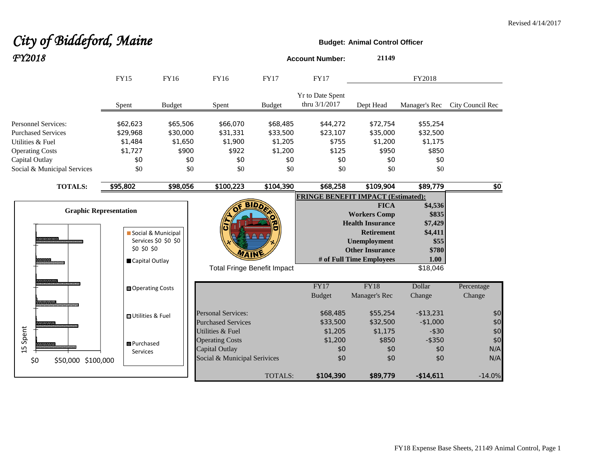# City of Biddeford, Maine **Budget:** Animal Control Officer *FY2018* **Account Number: <sup>21149</sup>**

|                             | FY15<br>FY16                                                   |                                            | <b>FY16</b><br><b>FY17</b>                             |                | <b>FY17</b>                               |                                                                                                                                                                 | FY2018                                                                      |                  |
|-----------------------------|----------------------------------------------------------------|--------------------------------------------|--------------------------------------------------------|----------------|-------------------------------------------|-----------------------------------------------------------------------------------------------------------------------------------------------------------------|-----------------------------------------------------------------------------|------------------|
|                             | Spent                                                          | <b>Budget</b>                              | Spent                                                  | <b>Budget</b>  | <b>Yr to Date Spent</b><br>thru 3/1/2017  | Dept Head                                                                                                                                                       | Manager's Rec                                                               | City Council Rec |
| <b>Personnel Services:</b>  | \$62,623                                                       | \$65,506                                   | \$66,070                                               | \$68,485       | \$44,272                                  | \$72,754                                                                                                                                                        | \$55,254                                                                    |                  |
| <b>Purchased Services</b>   | \$29,968                                                       | \$30,000                                   | \$31,331                                               | \$33,500       | \$23,107                                  | \$35,000                                                                                                                                                        | \$32,500                                                                    |                  |
| Utilities & Fuel            | \$1,484                                                        | \$1,650                                    | \$1,900                                                | \$1,205        | \$755                                     | \$1,200                                                                                                                                                         | \$1,175                                                                     |                  |
| <b>Operating Costs</b>      | \$1,727                                                        | \$900                                      | \$922                                                  | \$1,200        | \$125                                     | \$950                                                                                                                                                           | \$850                                                                       |                  |
| Capital Outlay              | \$0                                                            | \$0                                        | \$0                                                    | \$0            | \$0                                       | \$0                                                                                                                                                             | \$0                                                                         |                  |
| Social & Municipal Services | \$0                                                            | \$0                                        | \$0                                                    | \$0            | \$0                                       | \$0                                                                                                                                                             | \$0                                                                         |                  |
| <b>TOTALS:</b>              | \$95,802                                                       | \$98,056                                   | \$100,223                                              | \$104,390      | \$68,258                                  | \$109,904                                                                                                                                                       | \$89,779                                                                    | \$0              |
|                             |                                                                |                                            |                                                        |                | <b>FRINGE BENEFIT IMPACT (Estimated):</b> |                                                                                                                                                                 |                                                                             |                  |
| ---------                   | <b>Graphic Representation</b><br>\$0 \$0 \$0<br>Capital Outlay | Social & Municipal<br>Services \$0 \$0 \$0 | WAIN<br><b>Total Fringe Benefit Impact</b>             | <b>BIDD</b>    |                                           | <b>FICA</b><br><b>Workers Comp</b><br><b>Health Insurance</b><br><b>Retirement</b><br><b>Unemployment</b><br><b>Other Insurance</b><br># of Full Time Employees | \$4,536<br>\$835<br>\$7,429<br>\$4,411<br>\$55<br>\$780<br>1.00<br>\$18,046 |                  |
| <b>REAL PROPERTY</b>        | ■ Operating Costs                                              |                                            |                                                        |                | <b>FY17</b>                               | <b>FY18</b>                                                                                                                                                     | Dollar                                                                      | Percentage       |
| အားတောက                     |                                                                |                                            |                                                        |                | <b>Budget</b>                             | Manager's Rec                                                                                                                                                   | Change                                                                      | Change           |
| ,,,,,,,,,                   | <b>■Utilities &amp; Fuel</b>                                   |                                            | <b>Personal Services:</b><br><b>Purchased Services</b> |                | \$68,485<br>\$33,500                      | \$55,254<br>\$32,500                                                                                                                                            | $- $13,231$<br>$-$1,000$                                                    | \$0<br>\$0       |
| Spent                       |                                                                |                                            | Utilities & Fuel                                       |                | \$1,205                                   | \$1,175                                                                                                                                                         | $-$ \$30                                                                    | \$0              |
|                             | 图 Purchased                                                    |                                            | <b>Operating Costs</b>                                 |                | \$1,200                                   | \$850                                                                                                                                                           | $-$ \$350                                                                   | \$0              |
| $\overline{1}$              | Services                                                       |                                            | Capital Outlay                                         |                | \$0                                       | \$0                                                                                                                                                             | \$0                                                                         | N/A              |
| \$0<br>\$50,000 \$100,000   |                                                                |                                            | Social & Municipal Serivices                           |                | \$0                                       | \$0                                                                                                                                                             | \$0                                                                         | N/A              |
|                             |                                                                |                                            |                                                        | <b>TOTALS:</b> | \$104,390                                 | \$89,779                                                                                                                                                        | $-$14,611$                                                                  | $-14.0%$         |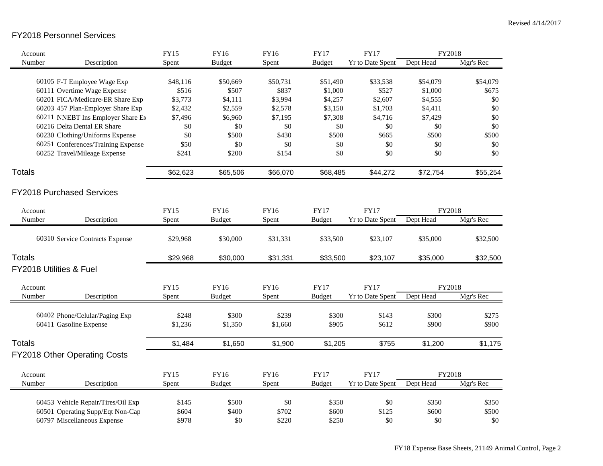#### FY2018 Personnel Services

| Account                 |                                                            | <b>FY15</b>       | FY16              | <b>FY16</b>       | <b>FY17</b>         | <b>FY17</b>             | FY2018              |                   |
|-------------------------|------------------------------------------------------------|-------------------|-------------------|-------------------|---------------------|-------------------------|---------------------|-------------------|
| Number                  | Description                                                | Spent             | <b>Budget</b>     | Spent             | <b>Budget</b>       | <b>Yr to Date Spent</b> | Dept Head           | Mgr's Rec         |
|                         |                                                            |                   |                   |                   |                     |                         |                     |                   |
|                         | 60105 F-T Employee Wage Exp<br>60111 Overtime Wage Expense | \$48,116<br>\$516 | \$50,669<br>\$507 | \$50,731<br>\$837 | \$51,490<br>\$1,000 | \$33,538<br>\$527       | \$54,079<br>\$1,000 | \$54,079<br>\$675 |
|                         | 60201 FICA/Medicare-ER Share Exp                           | \$3,773           | \$4,111           | \$3,994           | \$4,257             | \$2,607                 | \$4,555             | \$0               |
|                         | 60203 457 Plan-Employer Share Exp                          | \$2,432           | \$2,559           | \$2,578           | \$3,150             | \$1,703                 | \$4,411             | \$0               |
|                         | 60211 NNEBT Ins Employer Share Ex                          | \$7,496           | \$6,960           | \$7,195           | \$7,308             | \$4,716                 | \$7,429             | \$0               |
|                         | 60216 Delta Dental ER Share                                | \$0               | \$0               | \$0               | \$0                 | \$0                     | \$0                 | \$0               |
|                         | 60230 Clothing/Uniforms Expense                            | \$0               | \$500             | \$430             | \$500               | \$665                   | \$500               | \$500             |
|                         | 60251 Conferences/Training Expense                         | \$50              | \$0               | \$0               | $\$0$               | \$0                     | \$0                 | \$0               |
|                         | 60252 Travel/Mileage Expense                               | \$241             | \$200             | \$154             | \$0                 | \$0                     | \$0                 | \$0               |
| <b>Totals</b>           |                                                            | \$62,623          | \$65,506          | \$66,070          | \$68,485            | \$44,272                | \$72,754            | \$55,254          |
|                         | <b>FY2018 Purchased Services</b>                           |                   |                   |                   |                     |                         |                     |                   |
| Account                 |                                                            | <b>FY15</b>       | FY16              | <b>FY16</b>       | <b>FY17</b>         | <b>FY17</b>             | FY2018              |                   |
| Number                  | Description                                                | Spent             | <b>Budget</b>     | Spent             | <b>Budget</b>       | <b>Yr to Date Spent</b> | Dept Head           | Mgr's Rec         |
|                         | 60310 Service Contracts Expense                            | \$29,968          | \$30,000          | \$31,331          | \$33,500            | \$23,107                | \$35,000            | \$32,500          |
| <b>Totals</b>           |                                                            | \$29,968          | \$30,000          | \$31,331          | \$33,500            | \$23,107                | \$35,000            | \$32,500          |
| FY2018 Utilities & Fuel |                                                            |                   |                   |                   |                     |                         |                     |                   |
| Account                 |                                                            | FY15              | FY16              | FY16              | <b>FY17</b>         | <b>FY17</b>             | FY2018              |                   |
| Number                  | Description                                                | Spent             | <b>Budget</b>     | Spent             | <b>Budget</b>       | Yr to Date Spent        | Dept Head           | Mgr's Rec         |
|                         | 60402 Phone/Celular/Paging Exp                             | \$248             | \$300             | \$239             | \$300               | \$143                   | \$300               | \$275             |
|                         | 60411 Gasoline Expense                                     | \$1,236           | \$1,350           | \$1,660           | \$905               | \$612                   | \$900               | \$900             |
| <b>Totals</b>           |                                                            | \$1,484           | \$1,650           | \$1,900           | \$1,205             | \$755                   | \$1,200             | \$1,175           |
|                         | <b>FY2018 Other Operating Costs</b>                        |                   |                   |                   |                     |                         |                     |                   |
| Account                 |                                                            | FY15              | <b>FY16</b>       | <b>FY16</b>       | <b>FY17</b>         | <b>FY17</b>             | FY2018              |                   |
| Number                  | Description                                                | Spent             | <b>Budget</b>     | Spent             | <b>Budget</b>       | <b>Yr to Date Spent</b> | Dept Head           | Mgr's Rec         |
|                         | 60453 Vehicle Repair/Tires/Oil Exp                         | \$145             | \$500             | \$0               | \$350               | \$0                     | \$350               | \$350             |
|                         | 60501 Operating Supp/Eqt Non-Cap                           | \$604             | \$400             | \$702             | \$600               | \$125                   | \$600               | \$500             |
|                         | 60797 Miscellaneous Expense                                | \$978             | \$0               | \$220             | \$250               | \$0                     | \$0                 | \$0               |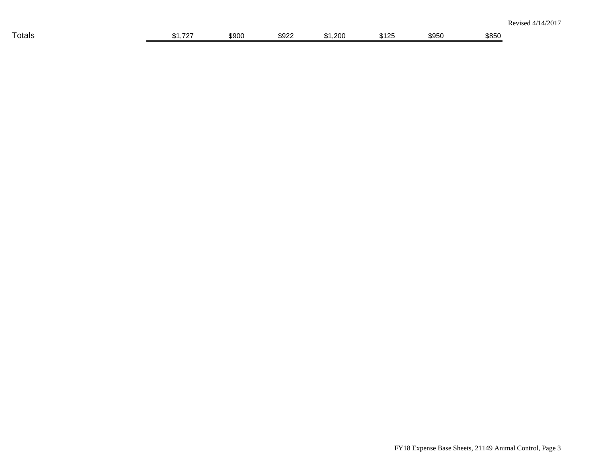| $-$<br>I otals | $-$<br>. | 5900<br>∗ч | moon<br>๖У∠<br>__ | .200<br>ъ. | 31つら | \$950 | \$85C |
|----------------|----------|------------|-------------------|------------|------|-------|-------|
|                |          |            |                   |            |      |       |       |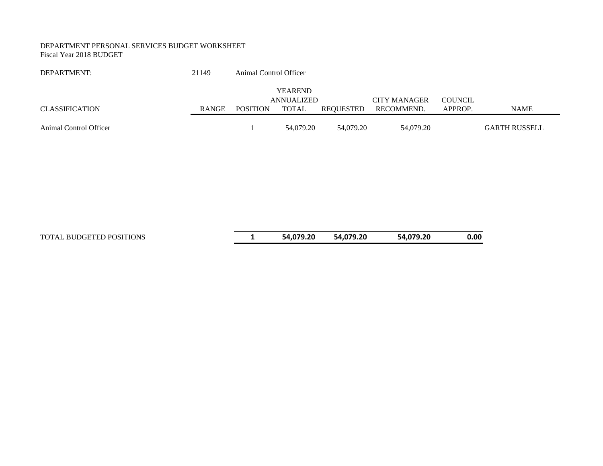#### DEPARTMENT PERSONAL SERVICES BUDGET WORKSHEET Fiscal Year 2018 BUDGET

| DEPARTMENT:            | 21149        | Animal Control Officer |                |           |                     |                |                      |
|------------------------|--------------|------------------------|----------------|-----------|---------------------|----------------|----------------------|
|                        |              |                        | <b>YEAREND</b> |           |                     |                |                      |
|                        |              |                        | ANNUALIZED     |           | <b>CITY MANAGER</b> | <b>COUNCIL</b> |                      |
| CLASSIFICATION         | <b>RANGE</b> | <b>POSITION</b>        | <b>TOTAL</b>   | REOUESTED | RECOMMEND.          | APPROP.        | <b>NAME</b>          |
|                        |              |                        |                |           |                     |                |                      |
| Animal Control Officer |              |                        | 54,079.20      | 54,079.20 | 54.079.20           |                | <b>GARTH RUSSELL</b> |

TOTAL BUDGETED POSITIONS **1 54,079.20 54,079.20 54,079.20 0.00**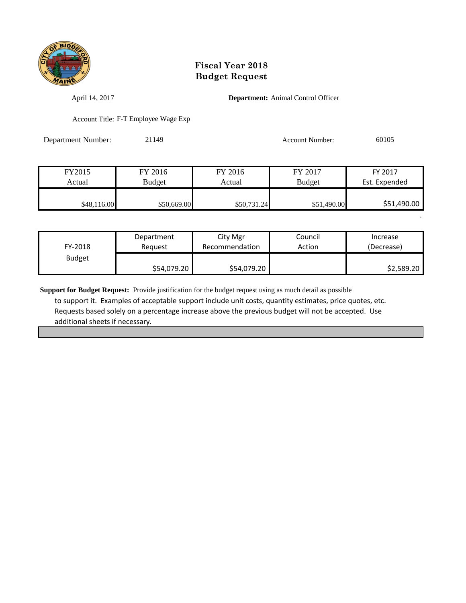

April 14, 2017 **Department:** Animal Control Officer

Account Title: F-T Employee Wage Exp

Department Number: 21149 Account Number: 60105

.

| FY2015      | FY 2016     | FY 2016     | FY 2017       | FY 2017       |
|-------------|-------------|-------------|---------------|---------------|
| Actual      | Budget      | Actual      | <b>Budget</b> | Est. Expended |
|             |             |             |               |               |
| \$48,116.00 | \$50,669.00 | \$50,731.24 | \$51,490.00   | \$51,490.00   |

| FY-2018       | Department  | City Mgr       | Council | Increase   |
|---------------|-------------|----------------|---------|------------|
|               | Reauest     | Recommendation | Action  | (Decrease) |
| <b>Budget</b> | \$54,079.20 | \$54,079.20    |         | \$2,589.20 |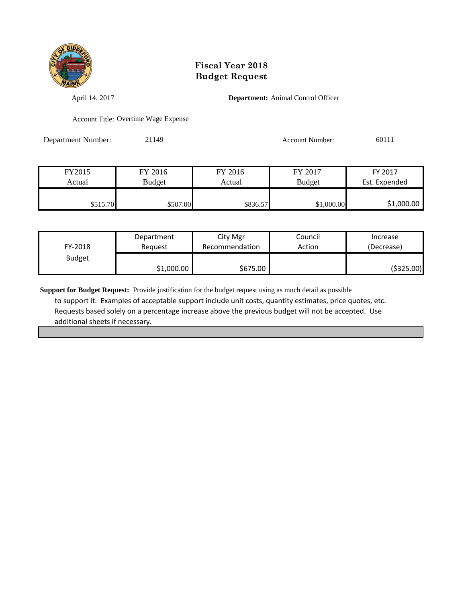

April 14, 2017 **Department:** Animal Control Officer

Account Title: Overtime Wage Expense

Department Number: 21149 Account Number: 60111

| FY2015   | FY 2016  | FY 2016  | FY 2017       | FY 2017       |
|----------|----------|----------|---------------|---------------|
| Actual   | Budget   | Actual   | <b>Budget</b> | Est. Expended |
|          |          |          |               |               |
| \$515.70 | \$507.00 | \$836.57 | \$1,000.00    | \$1,000.00    |

| FY-2018       | Department | City Mgr       | Council | Increase   |
|---------------|------------|----------------|---------|------------|
|               | Reauest    | Recommendation | Action  | (Decrease) |
| <b>Budget</b> | \$1,000.00 | \$675.00       |         | (\$325.00) |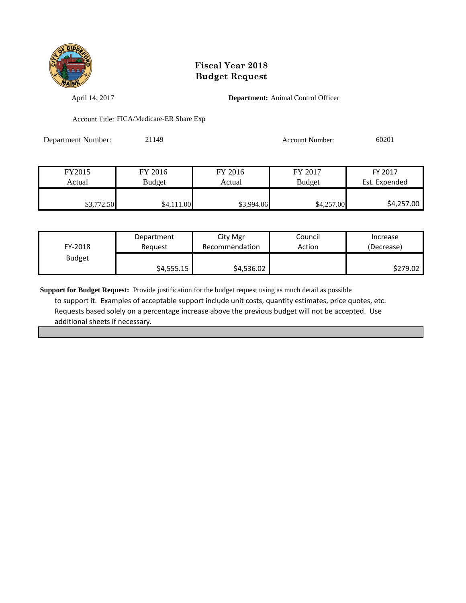

April 14, 2017 **Department:** Animal Control Officer

Account Title: FICA/Medicare-ER Share Exp

Department Number: 21149 Account Number: 60201

| FY2015     | FY 2016       | FY 2016    | FY 2017       | FY 2017       |
|------------|---------------|------------|---------------|---------------|
| Actual     | <b>Budget</b> | Actual     | <b>Budget</b> | Est. Expended |
|            |               |            |               |               |
| \$3,772.50 | \$4,111.00    | \$3,994.06 | \$4,257.00    | \$4,257.00    |

| FY-2018       | Department | City Mgr       | Council | Increase   |
|---------------|------------|----------------|---------|------------|
|               | Reauest    | Recommendation | Action  | (Decrease) |
| <b>Budget</b> | \$4,555.15 | \$4,536.02     |         | \$279.02   |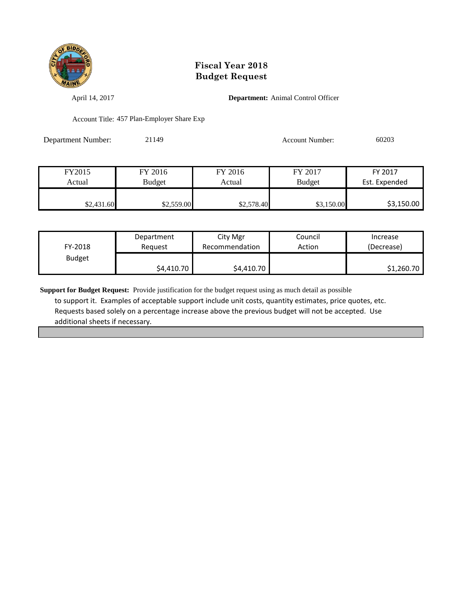

April 14, 2017 **Department:** Animal Control Officer

Account Title: 457 Plan-Employer Share Exp

| <b>Department Number:</b> | 21149 | Account Number: | 60203 |
|---------------------------|-------|-----------------|-------|
|                           |       |                 |       |

| FY2015     | FY 2016       | FY 2016    | FY 2017       | FY 2017       |
|------------|---------------|------------|---------------|---------------|
| Actual     | <b>Budget</b> | Actual     | <b>Budget</b> | Est. Expended |
|            |               |            |               |               |
| \$2,431.60 | \$2,559.00    | \$2,578.40 | \$3,150.00    | \$3,150.00    |

| FY-2018       | Department | City Mgr       | Council | Increase   |
|---------------|------------|----------------|---------|------------|
|               | Reauest    | Recommendation | Action  | (Decrease) |
| <b>Budget</b> | \$4,410.70 | \$4,410.70     |         | \$1,260.70 |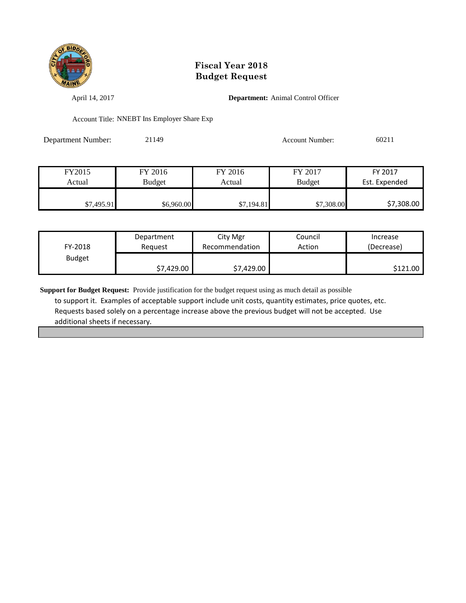

April 14, 2017 **Department:** Animal Control Officer

Account Title: NNEBT Ins Employer Share Exp

Department Number: 21149 Account Number: 60211

| FY2015     | FY 2016       | FY 2016    | FY 2017       | FY 2017       |
|------------|---------------|------------|---------------|---------------|
| Actual     | <b>Budget</b> | Actual     | <b>Budget</b> | Est. Expended |
|            |               |            |               |               |
| \$7,495.91 | \$6,960.00    | \$7,194.81 | \$7,308.00    | \$7,308.00    |

| FY-2018       | Department | City Mgr       | Council | Increase   |
|---------------|------------|----------------|---------|------------|
|               | Reauest    | Recommendation | Action  | (Decrease) |
| <b>Budget</b> | \$7,429.00 | \$7,429.00     |         | \$121.00   |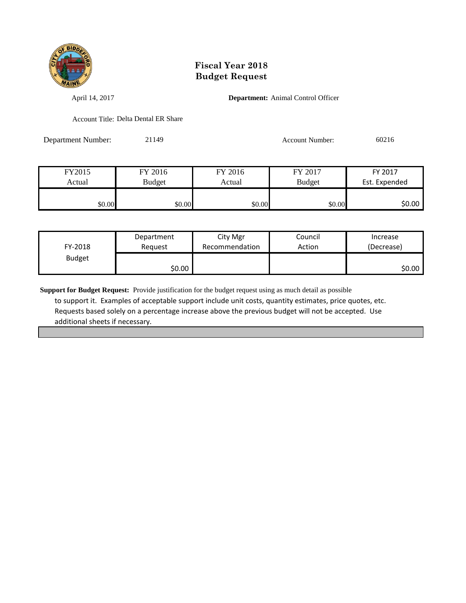

April 14, 2017 **Department:** Animal Control Officer

Account Title: Delta Dental ER Share

Department Number: 21149 Account Number: 60216

| FY2015 | FY 2016 | FY 2016 | FY 2017       | FY 2017       |
|--------|---------|---------|---------------|---------------|
| Actual | Budget  | Actual  | <b>Budget</b> | Est. Expended |
|        |         |         |               |               |
| \$0.00 | \$0.00  | \$0.00  | \$0.00        | \$0.00        |

| FY-2018       | Department | City Mgr       | Council | Increase   |
|---------------|------------|----------------|---------|------------|
|               | Reguest    | Recommendation | Action  | (Decrease) |
| <b>Budget</b> | \$0.00∣    |                |         | \$0.00 I   |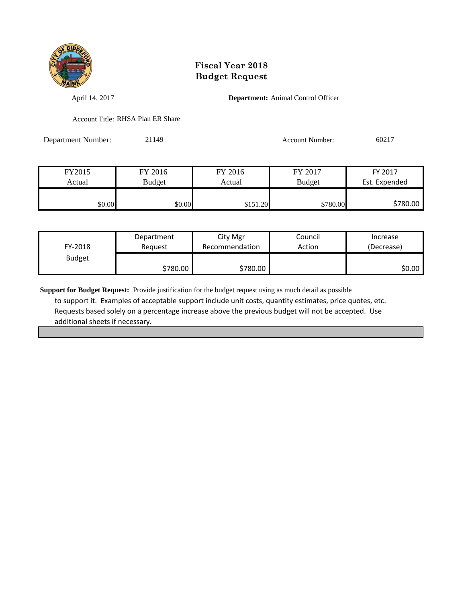

April 14, 2017 **Department:** Animal Control Officer

Account Title: RHSA Plan ER Share

Department Number: 21149 Account Number: 60217

| FY2015 | FY 2016 | FY 2016  | FY 2017       | FY 2017       |
|--------|---------|----------|---------------|---------------|
| Actual | Budget  | Actual   | <b>Budget</b> | Est. Expended |
|        |         |          |               |               |
| \$0.00 | \$0.00  | \$151.20 | \$780.00      | \$780.00      |

| FY-2018       | Department | City Mgr       | Council | Increase   |
|---------------|------------|----------------|---------|------------|
|               | Reauest    | Recommendation | Action  | (Decrease) |
| <b>Budget</b> | \$780.00 ∦ | \$780.00       |         | \$0.00     |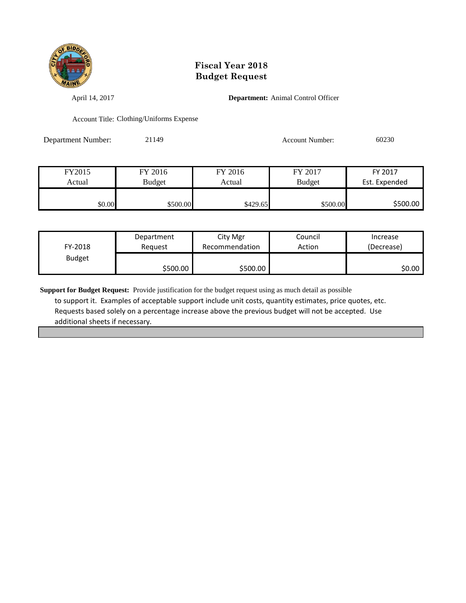

April 14, 2017 **Department:** Animal Control Officer

Account Title: Clothing/Uniforms Expense

Department Number: 21149 Account Number: 60230

| FY2015 | FY 2016  | FY 2016  | FY 2017       | FY 2017       |
|--------|----------|----------|---------------|---------------|
| Actual | Budget   | Actual   | <b>Budget</b> | Est. Expended |
|        |          |          |               |               |
| \$0.00 | \$500.00 | \$429.65 | \$500.00      | \$500.00      |

| FY-2018       | Department | City Mgr       | Council | Increase   |
|---------------|------------|----------------|---------|------------|
|               | Reguest    | Recommendation | Action  | (Decrease) |
| <b>Budget</b> | \$500.00   | \$500.00       |         | SO.OO I    |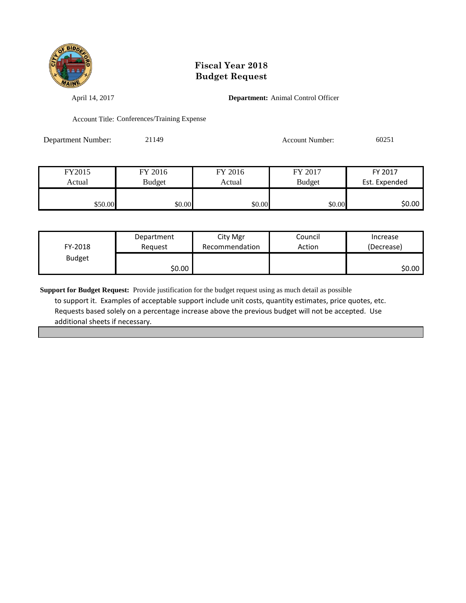

April 14, 2017 **Department:** Animal Control Officer

Account Title: Conferences/Training Expense

Department Number: 21149 Account Number: 60251

| FY2015  | FY 2016       | FY 2016 | FY 2017       | FY 2017       |
|---------|---------------|---------|---------------|---------------|
| Actual  | <b>Budget</b> | Actual  | <b>Budget</b> | Est. Expended |
|         |               |         |               |               |
| \$50.00 | \$0.00        | \$0.00  | \$0.00        | \$0.00        |

| FY-2018       | Department | City Mgr       | Council | Increase   |
|---------------|------------|----------------|---------|------------|
|               | Reauest    | Recommendation | Action  | (Decrease) |
| <b>Budget</b> | \$0.00     |                |         | \$0.00     |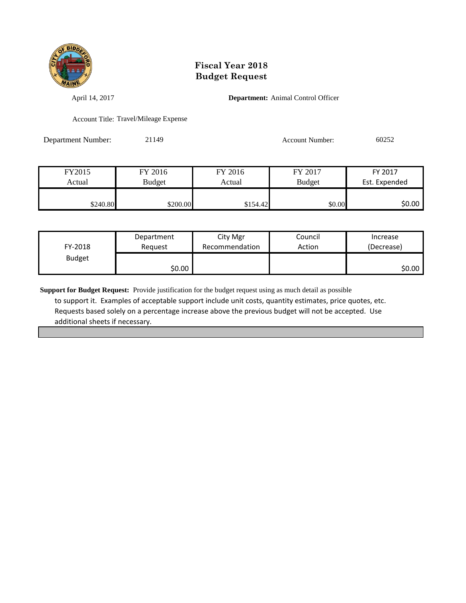

April 14, 2017 **Department:** Animal Control Officer

Account Title: Travel/Mileage Expense

Department Number: 21149 Account Number: 60252

| FY2015   | FY 2016       | FY 2016  | FY 2017       | FY 2017       |
|----------|---------------|----------|---------------|---------------|
| Actual   | <b>Budget</b> | Actual   | <b>Budget</b> | Est. Expended |
|          |               |          |               |               |
| \$240.80 | \$200.00      | \$154.42 | \$0.00        | \$0.00        |

| FY-2018       | Department | City Mgr       | Council | Increase   |
|---------------|------------|----------------|---------|------------|
|               | Reauest    | Recommendation | Action  | (Decrease) |
| <b>Budget</b> | \$0.00     |                |         | \$0.00     |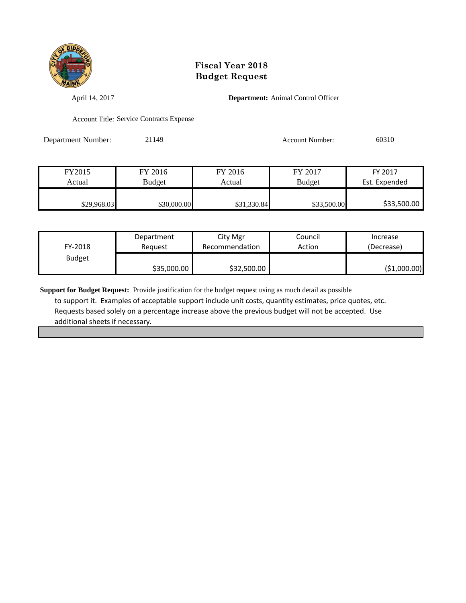

April 14, 2017 **Department:** Animal Control Officer

Account Title: Service Contracts Expense

Department Number: 21149 Account Number: 60310

| FY2015      | FY 2016     | FY 2016     | FY 2017       | FY 2017       |
|-------------|-------------|-------------|---------------|---------------|
| Actual      | Budget      | Actual      | <b>Budget</b> | Est. Expended |
|             |             |             |               |               |
| \$29,968.03 | \$30,000.00 | \$31,330.84 | \$33,500.00   | \$33,500.00   |

| FY-2018       | Department  | City Mgr       | Council | Increase     |
|---------------|-------------|----------------|---------|--------------|
|               | Reauest     | Recommendation | Action  | (Decrease)   |
| <b>Budget</b> | \$35,000.00 | \$32,500.00    |         | (\$1,000.00) |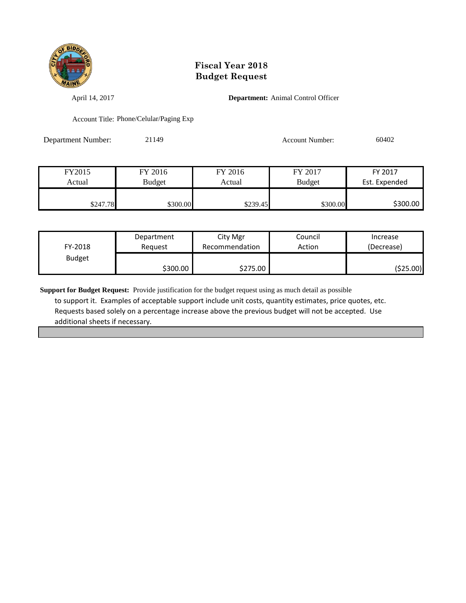

April 14, 2017 **Department:** Animal Control Officer

Account Title: Phone/Celular/Paging Exp

Department Number: 21149 Account Number: 60402

| FY2015   | FY 2016  | FY 2016  | FY 2017       | FY 2017       |
|----------|----------|----------|---------------|---------------|
| Actual   | Budget   | Actual   | <b>Budget</b> | Est. Expended |
|          |          |          |               |               |
| \$247.78 | \$300.00 | \$239.45 | \$300.00      | \$300.00      |

| FY-2018       | Department | City Mgr       | Council | Increase   |
|---------------|------------|----------------|---------|------------|
|               | Reauest    | Recommendation | Action  | (Decrease) |
| <b>Budget</b> | \$300.00   | \$275.00       |         | (\$25.00)  |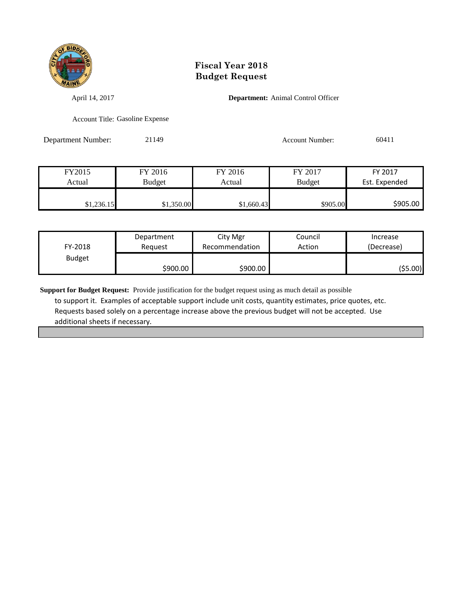

April 14, 2017 **Department:** Animal Control Officer

Account Title: Gasoline Expense

Department Number: 21149 Account Number: 60411

FY2015 FY 2016 FY 2016 FY 2017 FY 2017 Actual Budget Actual Budget Est. Expended \$1,236.15 \$1,350.00 \$1,660.43 \$905.00 \$905.00

| FY-2018       | Department | City Mgr       | Council | Increase   |
|---------------|------------|----------------|---------|------------|
|               | Reauest    | Recommendation | Action  | (Decrease) |
| <b>Budget</b> | \$900.00   | \$900.00       |         | ( \$5.00)  |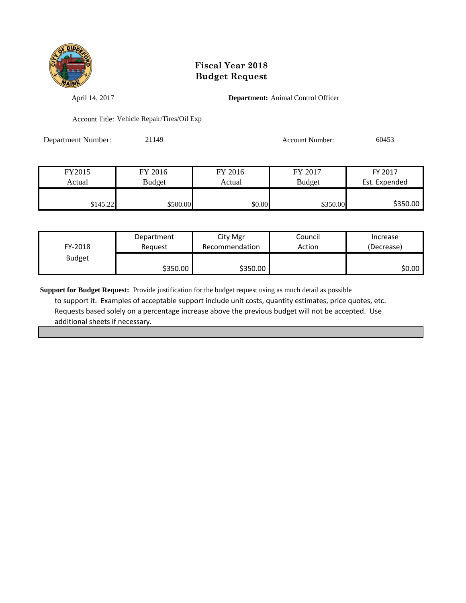

April 14, 2017 **Department:** Animal Control Officer

Account Title: Vehicle Repair/Tires/Oil Exp

Department Number: 21149 Account Number: 60453

| FY2015   | FY 2016       | FY 2016 | FY 2017       | FY 2017       |
|----------|---------------|---------|---------------|---------------|
| Actual   | <b>Budget</b> | Actual  | <b>Budget</b> | Est. Expended |
|          |               |         |               |               |
| \$145.22 | \$500.00      | \$0.00  | \$350.00      | \$350.00      |

| FY-2018       | Department | City Mgr       | Council | Increase   |
|---------------|------------|----------------|---------|------------|
|               | Reguest    | Recommendation | Action  | (Decrease) |
| <b>Budget</b> | \$350.00 l | \$350.00       |         | \$0.00     |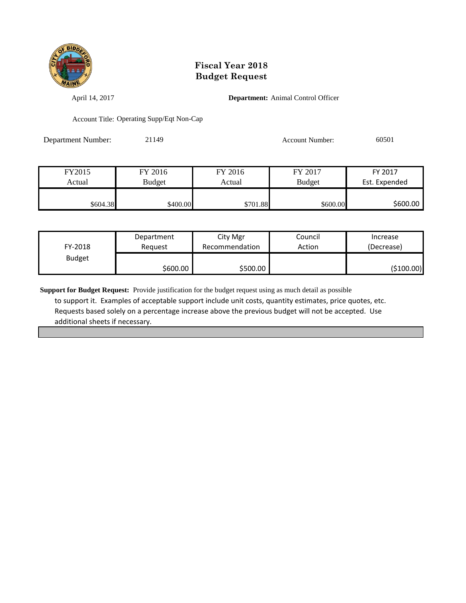

April 14, 2017 **Department:** Animal Control Officer

Account Title: Operating Supp/Eqt Non-Cap

Department Number: 21149 Account Number: 60501

| FY2015   | FY 2016       | FY 2016  | FY 2017       | FY 2017       |
|----------|---------------|----------|---------------|---------------|
| Actual   | <b>Budget</b> | Actual   | <b>Budget</b> | Est. Expended |
|          |               |          |               |               |
| \$604.38 | \$400.00      | \$701.88 | \$600.00      | \$600.00      |

| FY-2018       | Department | City Mgr       | Council | Increase   |
|---------------|------------|----------------|---------|------------|
|               | Reauest    | Recommendation | Action  | (Decrease) |
| <b>Budget</b> | \$600.00 l | \$500.00       |         | (\$100.00) |